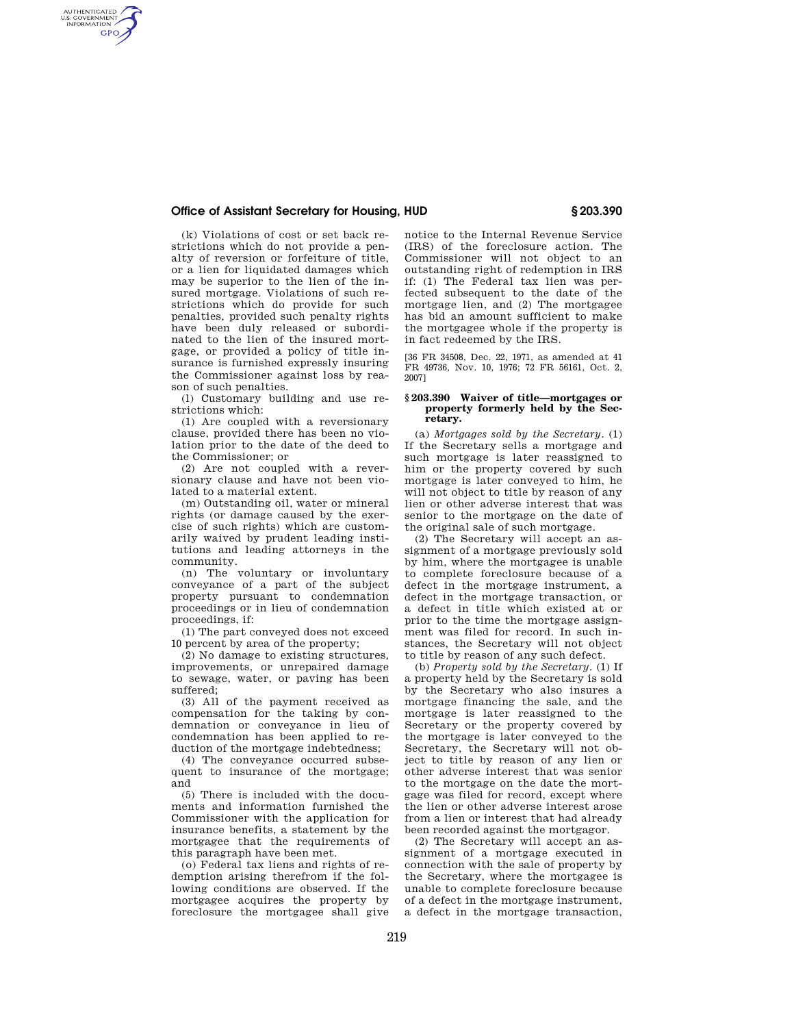# **Office of Assistant Secretary for Housing, HUD § 203.390**

AUTHENTICATED<br>U.S. GOVERNMENT<br>INFORMATION **GPO** 

(k) Violations of cost or set back restrictions which do not provide a penalty of reversion or forfeiture of title, or a lien for liquidated damages which may be superior to the lien of the insured mortgage. Violations of such restrictions which do provide for such penalties, provided such penalty rights have been duly released or subordinated to the lien of the insured mortgage, or provided a policy of title insurance is furnished expressly insuring the Commissioner against loss by reason of such penalties.

(l) Customary building and use restrictions which:

(1) Are coupled with a reversionary clause, provided there has been no violation prior to the date of the deed to the Commissioner; or

(2) Are not coupled with a reversionary clause and have not been violated to a material extent.

(m) Outstanding oil, water or mineral rights (or damage caused by the exercise of such rights) which are customarily waived by prudent leading institutions and leading attorneys in the community.

(n) The voluntary or involuntary conveyance of a part of the subject property pursuant to condemnation proceedings or in lieu of condemnation proceedings, if:

(1) The part conveyed does not exceed 10 percent by area of the property;

(2) No damage to existing structures, improvements, or unrepaired damage to sewage, water, or paving has been suffered;

(3) All of the payment received as compensation for the taking by condemnation or conveyance in lieu of condemnation has been applied to reduction of the mortgage indebtedness;

(4) The conveyance occurred subsequent to insurance of the mortgage; and

(5) There is included with the documents and information furnished the Commissioner with the application for insurance benefits, a statement by the mortgagee that the requirements of this paragraph have been met.

(o) Federal tax liens and rights of redemption arising therefrom if the following conditions are observed. If the mortgagee acquires the property by foreclosure the mortgagee shall give notice to the Internal Revenue Service (IRS) of the foreclosure action. The Commissioner will not object to an outstanding right of redemption in IRS if: (1) The Federal tax lien was perfected subsequent to the date of the mortgage lien, and (2) The mortgagee has bid an amount sufficient to make the mortgagee whole if the property is in fact redeemed by the IRS.

[36 FR 34508, Dec. 22, 1971, as amended at 41 FR 49736, Nov. 10, 1976; 72 FR 56161, Oct. 2, 2007]

#### **§ 203.390 Waiver of title—mortgages or property formerly held by the Secretary.**

(a) *Mortgages sold by the Secretary.* (1) If the Secretary sells a mortgage and such mortgage is later reassigned to him or the property covered by such mortgage is later conveyed to him, he will not object to title by reason of any lien or other adverse interest that was senior to the mortgage on the date of the original sale of such mortgage.

(2) The Secretary will accept an assignment of a mortgage previously sold by him, where the mortgagee is unable to complete foreclosure because of a defect in the mortgage instrument, a defect in the mortgage transaction, or a defect in title which existed at or prior to the time the mortgage assignment was filed for record. In such instances, the Secretary will not object to title by reason of any such defect.

(b) *Property sold by the Secretary.* (1) If a property held by the Secretary is sold by the Secretary who also insures a mortgage financing the sale, and the mortgage is later reassigned to the Secretary or the property covered by the mortgage is later conveyed to the Secretary, the Secretary will not object to title by reason of any lien or other adverse interest that was senior to the mortgage on the date the mortgage was filed for record, except where the lien or other adverse interest arose from a lien or interest that had already been recorded against the mortgagor.

(2) The Secretary will accept an assignment of a mortgage executed in connection with the sale of property by the Secretary, where the mortgagee is unable to complete foreclosure because of a defect in the mortgage instrument, a defect in the mortgage transaction,